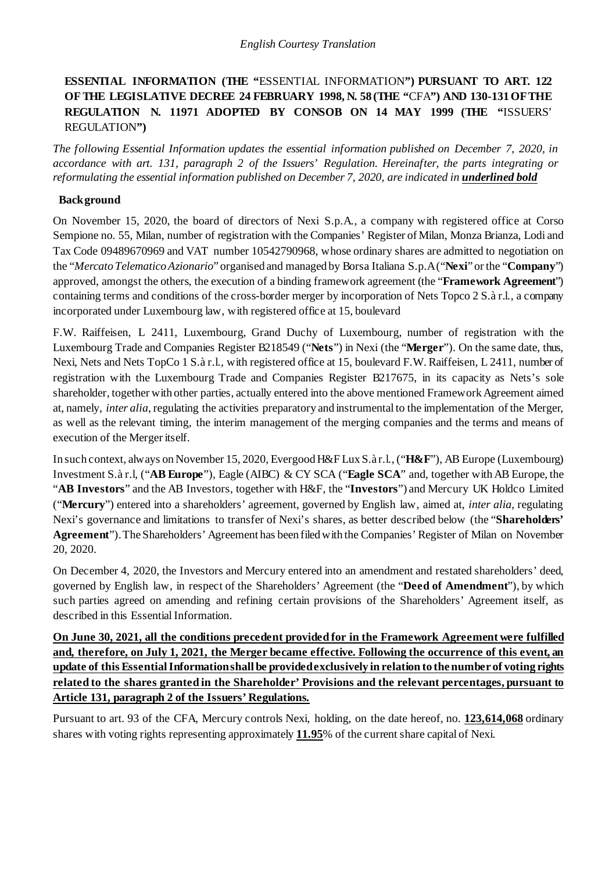# **ESSENTIAL INFORMATION (THE "**ESSENTIAL INFORMATION**") PURSUANT TO ART. 122 OF THE LEGISLATIVE DECREE 24 FEBRUARY 1998, N. 58 (THE "**CFA**") AND 130-131 OF THE REGULATION N. 11971 ADOPTED BY CONSOB ON 14 MAY 1999 (THE "**ISSUERS' REGULATION**")**

*The following Essential Information updates the essential information published on December 7, 2020, in accordance with art. 131, paragraph 2 of the Issuers' Regulation. Hereinafter, the parts integrating or reformulating the essential information published on December 7, 2020, are indicated in underlined bold* 

## **Background**

On November 15, 2020, the board of directors of Nexi S.p.A., a company with registered office at Corso Sempione no. 55, Milan, number of registration with the Companies' Register of Milan, Monza Brianza, Lodi and Tax Code 09489670969 and VAT number 10542790968, whose ordinary shares are admitted to negotiation on the "*Mercato Telematico Azionario*" organised and managed by Borsa Italiana S.p.A ("**Nexi**" or the "**Company**") approved, amongst the others, the execution of a binding framework agreement (the "**Framework Agreement**") containing terms and conditions of the cross-border merger by incorporation of Nets Topco 2 S.à r.l., a company incorporated under Luxembourg law, with registered office at 15, boulevard

F.W. Raiffeisen, L 2411, Luxembourg, Grand Duchy of Luxembourg, number of registration with the Luxembourg Trade and Companies Register B218549 ("**Nets**") in Nexi (the "**Merger**"). On the same date, thus, Nexi, Nets and Nets TopCo 1 S.à r.l., with registered office at 15, boulevard F.W. Raiffeisen, L 2411, number of registration with the Luxembourg Trade and Companies Register B217675, in its capacity as Nets's sole shareholder, together with other parties, actually entered into the above mentioned FrameworkAgreement aimed at, namely, *inter alia*, regulating the activities preparatory and instrumental to the implementation of the Merger, as well as the relevant timing, the interim management of the merging companies and the terms and means of execution of the Merger itself.

In such context, always on November 15, 2020, Evergood H&F Lux S.à r.l., ("**H&F**"), AB Europe (Luxembourg) Investment S.à r.l, ("**AB Europe**"), Eagle (AIBC) & CY SCA ("**Eagle SCA**" and, together withAB Europe, the "**AB Investors**" and the AB Investors, together with H&F, the "**Investors**") and Mercury UK Holdco Limited ("**Mercury**") entered into a shareholders' agreement, governed by English law, aimed at, *inter alia*, regulating Nexi's governance and limitations to transfer of Nexi's shares, as better described below (the "**Shareholders' Agreement**").TheShareholders' Agreement has been filedwith the Companies' Register of Milan on November 20, 2020.

On December 4, 2020, the Investors and Mercury entered into an amendment and restated shareholders' deed, governed by English law, in respect of the Shareholders' Agreement (the "**Deed of Amendment**"), by which such parties agreed on amending and refining certain provisions of the Shareholders' Agreement itself, as described in this Essential Information.

**On June 30, 2021, all the conditions precedent provided for in the Framework Agreement were fulfilled and, therefore, on July 1, 2021, the Merger became effective. Following the occurrence of this event, an update of this Essential Information shall be provided exclusively in relation to the number of voting rights related to the shares granted in the Shareholder' Provisions and the relevant percentages, pursuant to Article 131, paragraph 2 of the Issuers' Regulations.**

Pursuant to art. 93 of the CFA, Mercury controls Nexi, holding, on the date hereof, no. **123,614,068** ordinary shares with voting rights representing approximately **11.95**% of the current share capital of Nexi.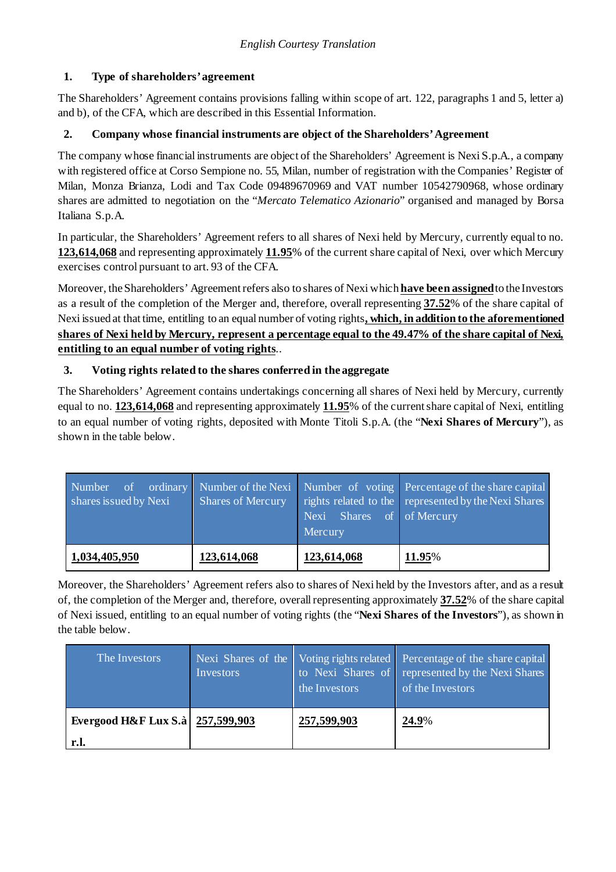# **1. Type of shareholders'agreement**

The Shareholders' Agreement contains provisions falling within scope of art. 122, paragraphs 1 and 5, letter a) and b), of the CFA, which are described in this Essential Information.

## **2. Company whose financial instruments are object of the Shareholders'Agreement**

The company whose financial instruments are object of the Shareholders' Agreement is Nexi S.p.A., a company with registered office at Corso Sempione no. 55, Milan, number of registration with the Companies' Register of Milan, Monza Brianza, Lodi and Tax Code 09489670969 and VAT number 10542790968, whose ordinary shares are admitted to negotiation on the "*Mercato Telematico Azionario*" organised and managed by Borsa Italiana S.p.A.

In particular, the Shareholders' Agreement refers to all shares of Nexi held by Mercury, currently equal to no. **123,614,068** and representing approximately **11.95**% of the current share capital of Nexi, over which Mercury exercises control pursuant to art. 93 of the CFA.

Moreover, the Shareholders' Agreement refers also to shares of Nexi which **have been assigned**to the Investors as a result of the completion of the Merger and, therefore, overall representing **37.52**% of the share capital of Nexi issued at that time, entitling to an equal number of voting rights**, which, in addition to the aforementioned shares of Nexi held by Mercury, represent a percentage equal to the 49.47% of the share capital of Nexi, entitling to an equal number of voting rights**..

## **3. Voting rights related to the shares conferred in the aggregate**

The Shareholders' Agreement contains undertakings concerning all shares of Nexi held by Mercury, currently equal to no. **123,614,068** and representing approximately **11.95**% of the current share capital of Nexi, entitling to an equal number of voting rights, deposited with Monte Titoli S.p.A. (the "**Nexi Shares of Mercury**"), as shown in the table below.

| $\overline{\text{of}}$<br>Number<br>shares issued by Nexi | <b>Shares of Mercury</b> | Shares of of Mercury<br>Nexi<br>Mercury | ordinary Number of the Nexi Number of voting Percentage of the share capital<br>rights related to the represented by the Nexi Shares |
|-----------------------------------------------------------|--------------------------|-----------------------------------------|--------------------------------------------------------------------------------------------------------------------------------------|
| 1,034,405,950                                             | 123,614,068              | 123,614,068                             | 11.95%                                                                                                                               |

Moreover, the Shareholders' Agreement refers also to shares of Nexi held by the Investors after, and as a result of, the completion of the Merger and, therefore, overall representing approximately **37.52**% of the share capital of Nexi issued, entitling to an equal number of voting rights (the "**Nexi Shares of the Investors**"), as shown in the table below.

| The Investors                      | Nexi Shares of the<br>Investors | the Investors | Voting rights related Percentage of the share capital<br>to Nexi Shares of represented by the Nexi Shares<br>of the Investors |
|------------------------------------|---------------------------------|---------------|-------------------------------------------------------------------------------------------------------------------------------|
| Evergood H&F Lux S.à   257,599,903 |                                 | 257,599,903   | 24.9%                                                                                                                         |
| r.l.                               |                                 |               |                                                                                                                               |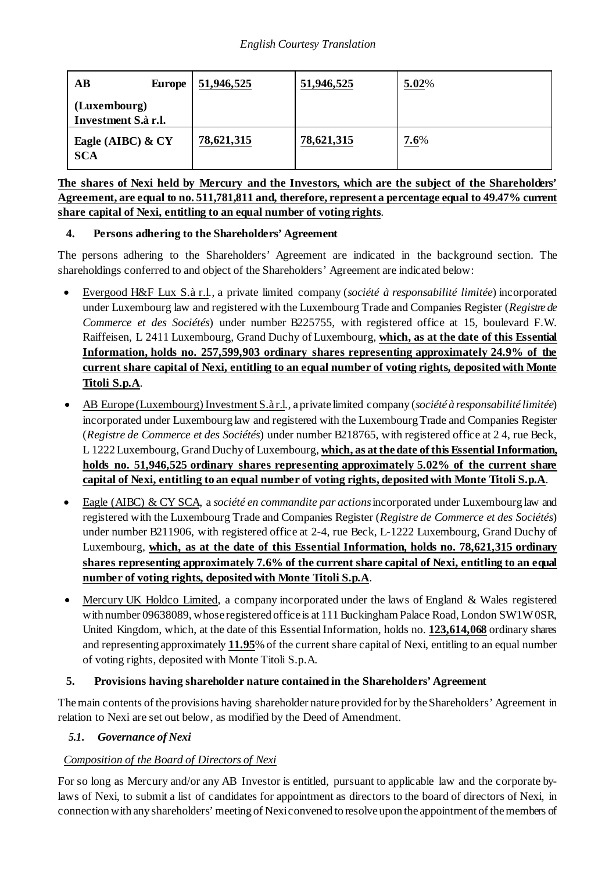| AB<br><b>Europe</b>                 | 51,946,525 | 51,946,525 | 5.02% |
|-------------------------------------|------------|------------|-------|
| (Luxembourg)<br>Investment S.à r.l. |            |            |       |
| Eagle (AIBC) & CY<br><b>SCA</b>     | 78,621,315 | 78,621,315 | 7.6%  |

**The shares of Nexi held by Mercury and the Investors, which are the subject of the Shareholders' Agreement, are equal to no. 511,781,811 and, therefore, represent a percentage equal to 49.47% current share capital of Nexi, entitling to an equal number of voting rights**.

## **4. Persons adhering to the Shareholders' Agreement**

The persons adhering to the Shareholders' Agreement are indicated in the background section. The shareholdings conferred to and object of the Shareholders' Agreement are indicated below:

- Evergood H&F Lux S.à r.l., a private limited company (*société à responsabilité limitée*) incorporated under Luxembourg law and registered with the Luxembourg Trade and Companies Register (*Registre de Commerce et des Sociétés*) under number B225755, with registered office at 15, boulevard F.W. Raiffeisen, L 2411 Luxembourg, Grand Duchy of Luxembourg, **which, as at the date of this Essential Information, holds no. 257,599,903 ordinary shares representing approximately 24.9% of the current share capital of Nexi, entitling to an equal number of voting rights, deposited with Monte Titoli S.p.A**.
- AB Europe (Luxembourg) Investment S.à r.l., a private limited company (*société à responsabilité limitée*) incorporated under Luxembourg law and registered with the Luxembourg Trade and Companies Register (*Registre de Commerce et des Sociétés*) under number B218765, with registered office at 2 4, rue Beck, L 1222 Luxembourg, Grand Duchy of Luxembourg, **which, as at the date of this Essential Information, holds no. 51,946,525 ordinary shares representing approximately 5.02% of the current share capital of Nexi, entitling to an equal number of voting rights, deposited with Monte Titoli S.p.A**.
- Eagle (AIBC) & CY SCA, a *société en commandite par actions*incorporated under Luxembourg law and registered with the Luxembourg Trade and Companies Register (*Registre de Commerce et des Sociétés*) under number B211906, with registered office at 2-4, rue Beck, L-1222 Luxembourg, Grand Duchy of Luxembourg, **which, as at the date of this Essential Information, holds no. 78,621,315 ordinary shares representing approximately 7.6% of the current share capital of Nexi, entitling to an equal number of voting rights, deposited with Monte Titoli S.p.A**.
- Mercury UK Holdco Limited, a company incorporated under the laws of England & Wales registered with number 09638089, whose registered office is at 111 Buckingham Palace Road, London SW1W0SR, United Kingdom, which, at the date of this Essential Information, holds no. **123,614,068** ordinary shares and representing approximately **11.95**% of the current share capital of Nexi, entitling to an equal number of voting rights, deposited with Monte Titoli S.p.A.

## **5. Provisions having shareholder nature contained in the Shareholders' Agreement**

The main contents of the provisions having shareholder nature provided for by the Shareholders' Agreement in relation to Nexi are set out below, as modified by the Deed of Amendment.

## <span id="page-2-0"></span>*5.1. Governance of Nexi*

# *Composition of the Board of Directors of Nexi*

For so long as Mercury and/or any AB Investor is entitled, pursuant to applicable law and the corporate bylaws of Nexi, to submit a list of candidates for appointment as directors to the board of directors of Nexi, in connectionwith any shareholders' meeting of Nexiconvened to resolve upon the appointment of themembers of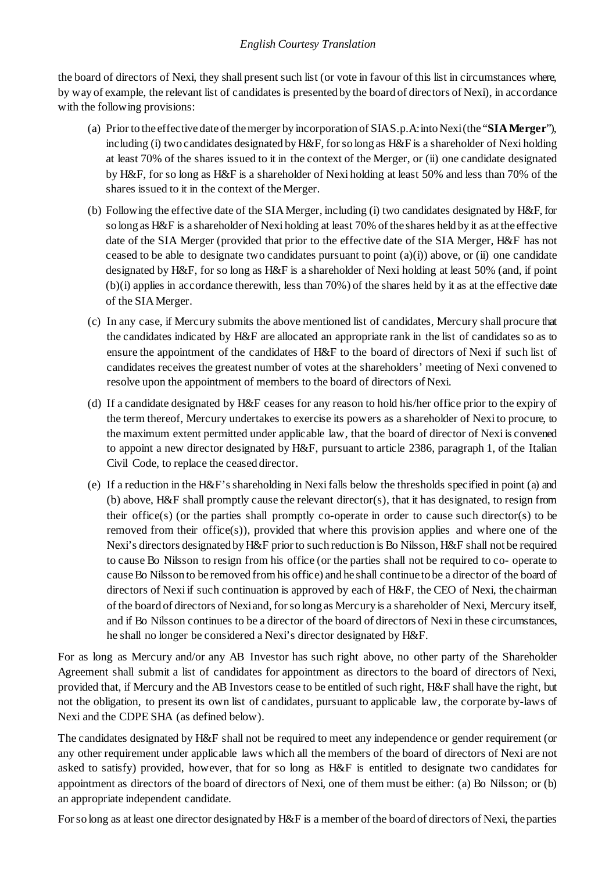the board of directors of Nexi, they shall present such list (or vote in favour of this list in circumstances where, by way of example, the relevant list of candidates is presented by the board of directors of Nexi), in accordance with the following provisions:

- (a) Prior to the effective date of themerger by incorporation of SIAS.p.A:intoNexi(the "**SIAMerger**"), including (i) two candidates designated byH&F, forso long as H&F is a shareholder of Nexi holding at least 70% of the shares issued to it in the context of the Merger, or (ii) one candidate designated by H&F, for so long as H&F is a shareholder of Nexi holding at least 50% and less than 70% of the shares issued to it in the context of theMerger.
- (b) Following the effective date of the SIAMerger, including (i) two candidates designated by H&F, for so long as H&F is a shareholder of Nexi holding at least 70% of the shares held by it as at the effective date of the SIA Merger (provided that prior to the effective date of the SIA Merger, H&F has not ceased to be able to designate two candidates pursuant to point  $(a)(i)$ ) above, or (ii) one candidate designated by H&F, for so long as H&F is a shareholder of Nexi holding at least 50% (and, if point (b)(i) applies in accordance therewith, less than 70%) of the shares held by it as at the effective date of the SIAMerger.
- (c) In any case, if Mercury submits the above mentioned list of candidates, Mercury shall procure that the candidates indicated by H&F are allocated an appropriate rank in the list of candidates so as to ensure the appointment of the candidates of H&F to the board of directors of Nexi if such list of candidates receives the greatest number of votes at the shareholders' meeting of Nexi convened to resolve upon the appointment of members to the board of directors of Nexi.
- (d) If a candidate designated by H&F ceases for any reason to hold his/her office prior to the expiry of the term thereof, Mercury undertakes to exercise its powers as a shareholder of Nexi to procure, to the maximum extent permitted under applicable law, that the board of director of Nexi is convened to appoint a new director designated by H&F, pursuant to article 2386, paragraph 1, of the Italian Civil Code, to replace the ceased director.
- (e) If a reduction in the H&F'sshareholding in Nexifalls below the thresholds specified in point (a) and (b) above, H&F shall promptly cause the relevant director(s), that it has designated, to resign from their office(s) (or the parties shall promptly co-operate in order to cause such director(s) to be removed from their office(s)), provided that where this provision applies and where one of the Nexi's directors designated by H&F prior to such reduction is Bo Nilsson, H&F shall not be required to cause Bo Nilsson to resign from his office (or the parties shall not be required to co- operate to causeBo Nilsson to be removed fromhis office) and he shall continue to be a director of the board of directors of Nexi if such continuation is approved by each of H&F, the CEO of Nexi, the chairman of the board of directors of Nexiand, forso long as Mercury is a shareholder of Nexi, Mercury itself, and if Bo Nilsson continues to be a director of the board of directors of Nexi in these circumstances, he shall no longer be considered a Nexi's director designated by H&F.

For as long as Mercury and/or any AB Investor has such right above, no other party of the Shareholder Agreement shall submit a list of candidates for appointment as directors to the board of directors of Nexi, provided that, if Mercury and the AB Investors cease to be entitled of such right, H&F shall have the right, but not the obligation, to present its own list of candidates, pursuant to applicable law, the corporate by-laws of Nexi and the CDPE SHA (as defined below).

The candidates designated by H&F shall not be required to meet any independence or gender requirement (or any other requirement under applicable laws which all the members of the board of directors of Nexi are not asked to satisfy) provided, however, that for so long as H&F is entitled to designate two candidates for appointment as directors of the board of directors of Nexi, one of them must be either: (a) Bo Nilsson; or (b) an appropriate independent candidate.

For so long as at least one director designated by H&F is a member of the board of directors of Nexi, the parties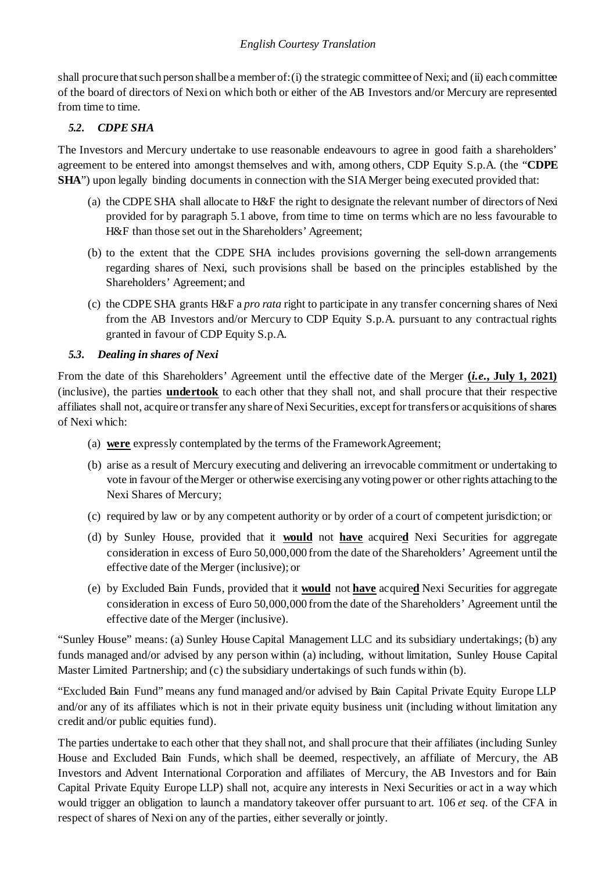shall procure thatsuch person shallbe a member of:(i) the strategic committee of Nexi; and (ii) each committee of the board of directors of Nexi on which both or either of the AB Investors and/or Mercury are represented from time to time.

# *5.2. CDPE SHA*

The Investors and Mercury undertake to use reasonable endeavours to agree in good faith a shareholders' agreement to be entered into amongst themselves and with, among others, CDP Equity S.p.A. (the "**CDPE SHA**") upon legally binding documents in connection with the SIA Merger being executed provided that:

- (a) the CDPE SHA shall allocate to H&F the right to designate the relevant number of directors of Nexi provided for by paragraph [5.1](#page-2-0) above, from time to time on terms which are no less favourable to H&F than those set out in the Shareholders' Agreement;
- (b) to the extent that the CDPE SHA includes provisions governing the sell-down arrangements regarding shares of Nexi, such provisions shall be based on the principles established by the Shareholders' Agreement; and
- (c) the CDPE SHA grants H&F a *pro rata* right to participate in any transfer concerning shares of Nexi from the AB Investors and/or Mercury to CDP Equity S.p.A. pursuant to any contractual rights granted in favour of CDP Equity S.p.A.

## *5.3. Dealing in shares of Nexi*

From the date of this Shareholders' Agreement until the effective date of the Merger **(***i.e***., July 1, 2021)** (inclusive), the parties **undertook** to each other that they shall not, and shall procure that their respective affiliates shall not, acquire or transfer any share of Nexi Securities, except for transfers or acquisitions of shares of Nexi which:

- (a) **were** expressly contemplated by the terms of the FrameworkAgreement;
- (b) arise as a result of Mercury executing and delivering an irrevocable commitment or undertaking to vote in favour of theMerger or otherwise exercising any voting power or other rights attaching to the Nexi Shares of Mercury;
- (c) required by law or by any competent authority or by order of a court of competent jurisdiction; or
- (d) by Sunley House, provided that it **would** not **have** acquire**d** Nexi Securities for aggregate consideration in excess of Euro 50,000,000 from the date of the Shareholders' Agreement until the effective date of the Merger (inclusive); or
- (e) by Excluded Bain Funds, provided that it **would** not **have** acquire**d** Nexi Securities for aggregate consideration in excess of Euro 50,000,000 fromthe date of the Shareholders' Agreement until the effective date of the Merger (inclusive).

"Sunley House" means: (a) Sunley House Capital Management LLC and its subsidiary undertakings; (b) any funds managed and/or advised by any person within (a) including, without limitation, Sunley House Capital Master Limited Partnership; and (c) the subsidiary undertakings of such funds within (b).

"Excluded Bain Fund" means any fund managed and/or advised by Bain Capital Private Equity Europe LLP and/or any of its affiliates which is not in their private equity business unit (including without limitation any credit and/or public equities fund).

The parties undertake to each other that they shall not, and shall procure that their affiliates (including Sunley House and Excluded Bain Funds, which shall be deemed, respectively, an affiliate of Mercury, the AB Investors and Advent International Corporation and affiliates of Mercury, the AB Investors and for Bain Capital Private Equity Europe LLP) shall not, acquire any interests in Nexi Securities or act in a way which would trigger an obligation to launch a mandatory takeover offer pursuant to art. 106 *et seq*. of the CFA in respect of shares of Nexi on any of the parties, either severally or jointly.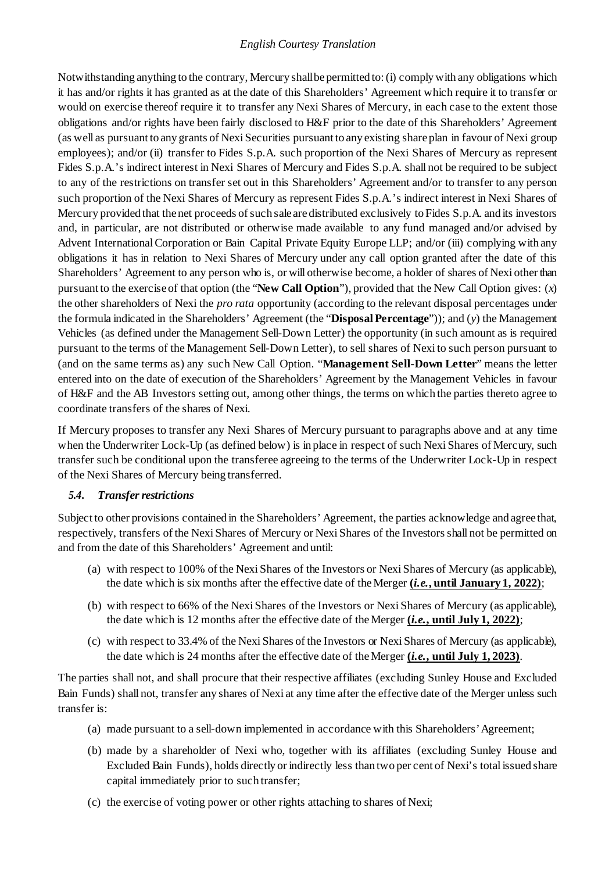Notwithstanding anything to the contrary, Mercury shallbe permitted to:(i) complywith any obligations which it has and/or rights it has granted as at the date of this Shareholders' Agreement which require it to transfer or would on exercise thereof require it to transfer any Nexi Shares of Mercury, in each case to the extent those obligations and/or rights have been fairly disclosed to H&F prior to the date of this Shareholders' Agreement (as well as pursuant to any grants of Nexi Securities pursuant to any existing share plan in favour of Nexi group employees); and/or (ii) transfer to Fides S.p.A. such proportion of the Nexi Shares of Mercury as represent Fides S.p.A.'s indirect interest in Nexi Shares of Mercury and Fides S.p.A. shall not be required to be subject to any of the restrictions on transfer set out in this Shareholders' Agreement and/or to transfer to any person such proportion of the Nexi Shares of Mercury as represent Fides S.p.A.'s indirect interest in Nexi Shares of Mercury provided that the net proceeds of such sale are distributed exclusively to Fides S.p.A. and its investors and, in particular, are not distributed or otherwise made available to any fund managed and/or advised by Advent International Corporation or Bain Capital Private Equity Europe LLP; and/or (iii) complying with any obligations it has in relation to Nexi Shares of Mercury under any call option granted after the date of this Shareholders' Agreement to any person who is, or will otherwise become, a holder of shares of Nexi other than pursuant to the exercise of that option (the "**New Call Option**"), provided that the New Call Option gives: (*x*) the other shareholders of Nexi the *pro rata* opportunity (according to the relevant disposal percentages under the formula indicated in the Shareholders' Agreement (the "**Disposal Percentage**")); and (*y*) the Management Vehicles (as defined under the Management Sell-Down Letter) the opportunity (in such amount as is required pursuant to the terms of the Management Sell-Down Letter), to sell shares of Nexi to such person pursuant to (and on the same terms as) any such New Call Option. "**Management Sell-Down Letter**" means the letter entered into on the date of execution of the Shareholders' Agreement by the Management Vehicles in favour of H&F and the AB Investors setting out, among other things, the terms on which the parties thereto agree to coordinate transfers of the shares of Nexi.

If Mercury proposes to transfer any Nexi Shares of Mercury pursuant to paragraphs above and at any time when the Underwriter Lock-Up (as defined below) is in place in respect of such Nexi Shares of Mercury, such transfer such be conditional upon the transferee agreeing to the terms of the Underwriter Lock-Up in respect of the Nexi Shares of Mercury being transferred.

### <span id="page-5-0"></span>*5.4. Transferrestrictions*

Subject to other provisions contained in the Shareholders' Agreement, the parties acknowledge and agree that, respectively, transfers of the Nexi Shares of Mercury or Nexi Shares of the Investorsshall not be permitted on and from the date of this Shareholders' Agreement and until:

- (a) with respect to 100% of the Nexi Shares of the Investors or Nexi Shares of Mercury (as applicable), the date which is six months after the effective date of theMerger **(***i.e.***, until January 1, 2022)**;
- (b) with respect to 66% of the Nexi Shares of the Investors or Nexi Shares of Mercury (as applicable), the date which is 12 months after the effective date of theMerger **(***i.e.***, until July 1, 2022)**;
- (c) with respect to 33.4% of the Nexi Shares of the Investors or Nexi Shares of Mercury (as applicable), the date which is 24 months after the effective date of theMerger **(***i.e.***, until July 1, 2023)**.

The parties shall not, and shall procure that their respective affiliates (excluding Sunley House and Excluded Bain Funds) shall not, transfer any shares of Nexi at any time after the effective date of the Merger unless such transfer is:

- (a) made pursuant to a sell-down implemented in accordance with this Shareholders' Agreement;
- (b) made by a shareholder of Nexi who, together with its affiliates (excluding Sunley House and Excluded Bain Funds), holds directly or indirectly less than two per cent of Nexi's total issued share capital immediately prior to such transfer;
- (c) the exercise of voting power or other rights attaching to shares of Nexi;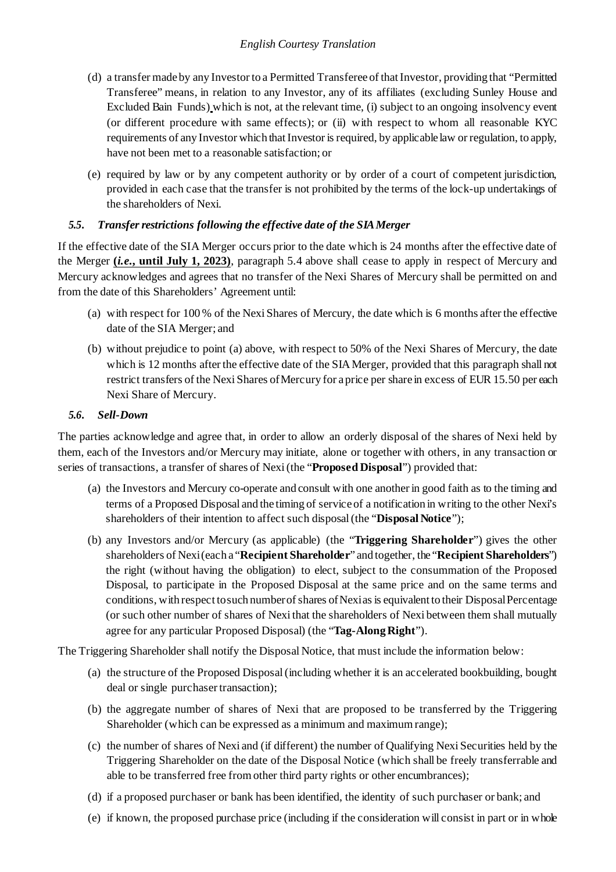- (d) a transfer made by any Investor to a Permitted Transferee of thatInvestor, providing that "Permitted Transferee" means, in relation to any Investor, any of its affiliates (excluding Sunley House and Excluded Bain Funds) which is not, at the relevant time, (i) subject to an ongoing insolvency event (or different procedure with same effects); or (ii) with respect to whom all reasonable KYC requirements of any Investor which that Investor is required, by applicable law or regulation, to apply, have not been met to a reasonable satisfaction; or
- (e) required by law or by any competent authority or by order of a court of competent jurisdiction, provided in each case that the transfer is not prohibited by the terms of the lock-up undertakings of the shareholders of Nexi.

## *5.5. Transfer restrictions following the effective date of the SIAMerger*

If the effective date of the SIA Merger occurs prior to the date which is 24 months after the effective date of the Merger **(***i.e***., until July 1, 2023)**, paragraph [5.4](#page-5-0) above shall cease to apply in respect of Mercury and Mercury acknowledges and agrees that no transfer of the Nexi Shares of Mercury shall be permitted on and from the date of this Shareholders' Agreement until:

- (a) with respect for 100 % of the Nexi Shares of Mercury, the date which is 6 months after the effective date of the SIA Merger; and
- (b) without prejudice to point (a) above, with respect to 50% of the Nexi Shares of Mercury, the date which is 12 months after the effective date of the SIA Merger, provided that this paragraph shall not restrict transfers of the Nexi Shares of Mercury for a price per share in excess of EUR 15.50 per each Nexi Share of Mercury.

### *5.6. Sell-Down*

The parties acknowledge and agree that, in order to allow an orderly disposal of the shares of Nexi held by them, each of the Investors and/or Mercury may initiate, alone or together with others, in any transaction or series of transactions, a transfer of shares of Nexi (the "**Proposed Disposal**") provided that:

- (a) the Investors and Mercury co-operate and consult with one another in good faith as to the timing and terms of a Proposed Disposal and the timing of service of a notification in writing to the other Nexi's shareholders of their intention to affect such disposal (the "**Disposal Notice**");
- (b) any Investors and/or Mercury (as applicable) (the "**Triggering Shareholder**") gives the other shareholders of Nexi(each a "**Recipient Shareholder**" and together, the "**Recipient Shareholders**") the right (without having the obligation) to elect, subject to the consummation of the Proposed Disposal, to participate in the Proposed Disposal at the same price and on the same terms and conditions, with respect tosuch numberofshares ofNexiasis equivalent to their DisposalPercentage (or such other number of shares of Nexi that the shareholders of Nexi between them shall mutually agree for any particular Proposed Disposal) (the "**Tag-Along Right**").

The Triggering Shareholder shall notify the Disposal Notice, that must include the information below:

- (a) the structure of the Proposed Disposal (including whether it is an accelerated bookbuilding, bought deal or single purchaser transaction);
- (b) the aggregate number of shares of Nexi that are proposed to be transferred by the Triggering Shareholder (which can be expressed as a minimum and maximumrange);
- (c) the number of shares of Nexi and (if different) the number of Qualifying Nexi Securities held by the Triggering Shareholder on the date of the Disposal Notice (which shall be freely transferrable and able to be transferred free from other third party rights or other encumbrances);
- (d) if a proposed purchaser or bank has been identified, the identity of such purchaser or bank; and
- (e) if known, the proposed purchase price (including if the consideration will consist in part or in whole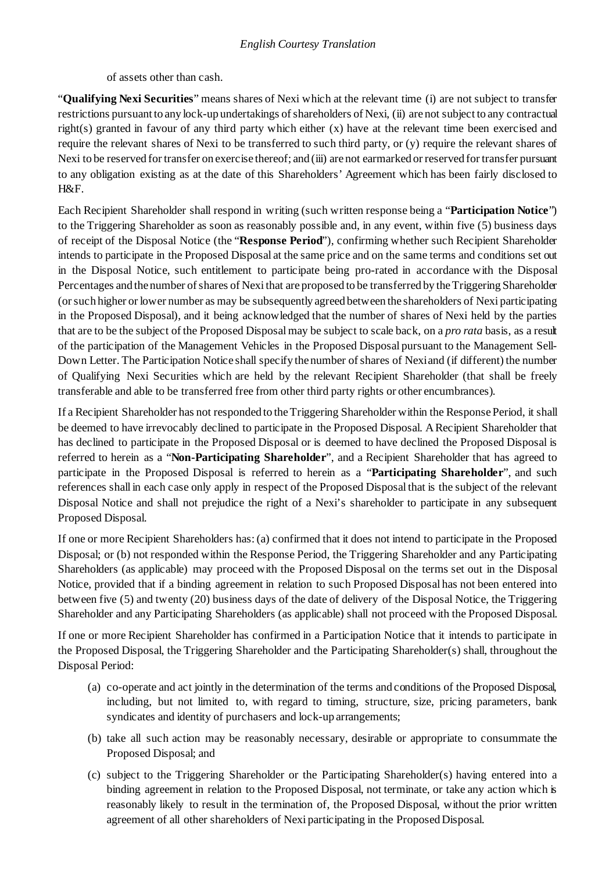of assets other than cash.

"**Qualifying Nexi Securities**" means shares of Nexi which at the relevant time (i) are not subject to transfer restrictions pursuant to any lock-up undertakings of shareholders of Nexi, (ii) are not subject to any contractual right(s) granted in favour of any third party which either (x) have at the relevant time been exercised and require the relevant shares of Nexi to be transferred to such third party, or (y) require the relevant shares of Nexi to be reserved for transfer on exercise thereof; and (iii) are not earmarked or reserved for transfer pursuant to any obligation existing as at the date of this Shareholders' Agreement which has been fairly disclosed to H&F.

Each Recipient Shareholder shall respond in writing (such written response being a "**Participation Notice**") to the Triggering Shareholder as soon as reasonably possible and, in any event, within five (5) business days of receipt of the Disposal Notice (the "**Response Period**"), confirming whether such Recipient Shareholder intends to participate in the Proposed Disposal at the same price and on the same terms and conditions set out in the Disposal Notice, such entitlement to participate being pro-rated in accordance with the Disposal Percentages and the number of shares of Nexi that are proposed to be transferred by the Triggering Shareholder (orsuch higher or lower number as may be subsequently agreed between the shareholders of Nexi participating in the Proposed Disposal), and it being acknowledged that the number of shares of Nexi held by the parties that are to be the subject of the Proposed Disposalmay be subject to scale back, on a *pro rata* basis, as a result of the participation of the Management Vehicles in the Proposed Disposal pursuant to the Management Sell-Down Letter. The Participation Notice shall specify the number of shares of Nexiand (if different) the number of Qualifying Nexi Securities which are held by the relevant Recipient Shareholder (that shall be freely transferable and able to be transferred free from other third party rights or other encumbrances).

If a Recipient Shareholder has not responded to the Triggering Shareholder within the Response Period, it shall be deemed to have irrevocably declined to participate in the Proposed Disposal. A Recipient Shareholder that has declined to participate in the Proposed Disposal or is deemed to have declined the Proposed Disposal is referred to herein as a "**Non-Participating Shareholder**", and a Recipient Shareholder that has agreed to participate in the Proposed Disposal is referred to herein as a "**Participating Shareholder**", and such references shall in each case only apply in respect of the Proposed Disposal that is the subject of the relevant Disposal Notice and shall not prejudice the right of a Nexi's shareholder to participate in any subsequent Proposed Disposal.

If one or more Recipient Shareholders has: (a) confirmed that it does not intend to participate in the Proposed Disposal; or (b) not responded within the Response Period, the Triggering Shareholder and any Participating Shareholders (as applicable) may proceed with the Proposed Disposal on the terms set out in the Disposal Notice, provided that if a binding agreement in relation to such Proposed Disposal has not been entered into between five (5) and twenty (20) business days of the date of delivery of the Disposal Notice, the Triggering Shareholder and any Participating Shareholders (as applicable) shall not proceed with the Proposed Disposal.

If one or more Recipient Shareholder has confirmed in a Participation Notice that it intends to participate in the Proposed Disposal, the Triggering Shareholder and the Participating Shareholder(s) shall, throughout the Disposal Period:

- (a) co-operate and act jointly in the determination of the terms and conditions of the Proposed Disposal, including, but not limited to, with regard to timing, structure, size, pricing parameters, bank syndicates and identity of purchasers and lock-up arrangements;
- (b) take all such action may be reasonably necessary, desirable or appropriate to consummate the Proposed Disposal; and
- (c) subject to the Triggering Shareholder or the Participating Shareholder(s) having entered into a binding agreement in relation to the Proposed Disposal, not terminate, or take any action which is reasonably likely to result in the termination of, the Proposed Disposal, without the prior written agreement of all other shareholders of Nexi participating in the Proposed Disposal.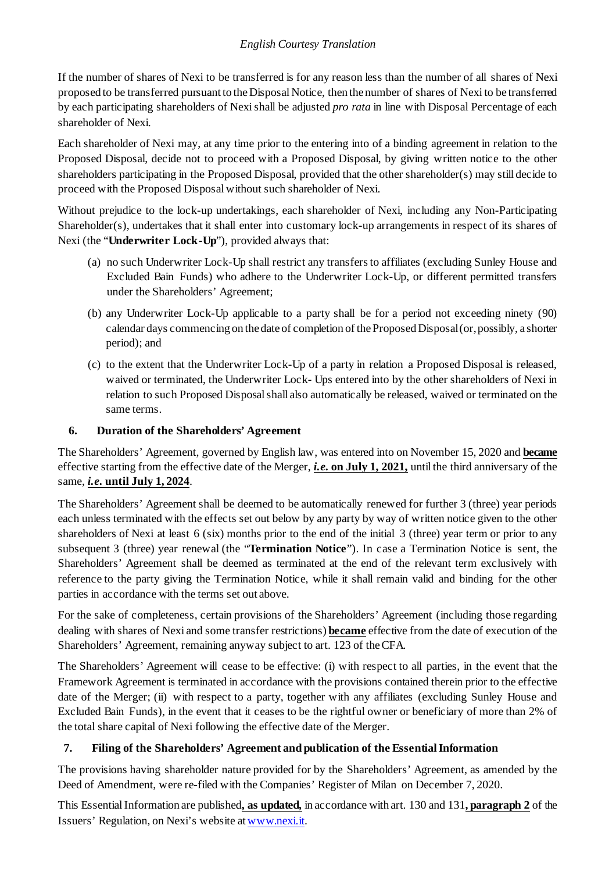If the number of shares of Nexi to be transferred is for any reason less than the number of all shares of Nexi proposed to be transferred pursuant to theDisposal Notice, then the number of shares of Nexi to be transferred by each participating shareholders of Nexi shall be adjusted *pro rata* in line with Disposal Percentage of each shareholder of Nexi.

Each shareholder of Nexi may, at any time prior to the entering into of a binding agreement in relation to the Proposed Disposal, decide not to proceed with a Proposed Disposal, by giving written notice to the other shareholders participating in the Proposed Disposal, provided that the other shareholder(s) may still decide to proceed with the Proposed Disposal without such shareholder of Nexi.

Without prejudice to the lock-up undertakings, each shareholder of Nexi, including any Non-Participating Shareholder(s), undertakes that it shall enter into customary lock-up arrangements in respect of its shares of Nexi (the "**Underwriter Lock-Up**"), provided always that:

- (a) no such Underwriter Lock-Up shall restrict any transfers to affiliates (excluding Sunley House and Excluded Bain Funds) who adhere to the Underwriter Lock-Up, or different permitted transfers under the Shareholders' Agreement;
- (b) any Underwriter Lock-Up applicable to a party shall be for a period not exceeding ninety (90) calendar days commencing on the date of completion of the Proposed Disposal (or, possibly, a shorter period); and
- (c) to the extent that the Underwriter Lock-Up of a party in relation a Proposed Disposal is released, waived or terminated, the Underwriter Lock- Ups entered into by the other shareholders of Nexi in relation to such Proposed Disposal shall also automatically be released, waived or terminated on the same terms.

# **6. Duration of the Shareholders' Agreement**

The Shareholders' Agreement, governed by English law, was entered into on November 15, 2020 and **became** effective starting from the effective date of the Merger, *i.e***. on July 1, 2021,** until the third anniversary of the same, *i.e***. until July 1, 2024**.

The Shareholders' Agreement shall be deemed to be automatically renewed for further 3 (three) year periods each unless terminated with the effects set out below by any party by way of written notice given to the other shareholders of Nexi at least 6 (six) months prior to the end of the initial 3 (three) year term or prior to any subsequent 3 (three) year renewal (the "**Termination Notice**"). In case a Termination Notice is sent, the Shareholders' Agreement shall be deemed as terminated at the end of the relevant term exclusively with reference to the party giving the Termination Notice, while it shall remain valid and binding for the other parties in accordance with the terms set out above.

For the sake of completeness, certain provisions of the Shareholders' Agreement (including those regarding dealing with shares of Nexi and some transfer restrictions) **became** effective from the date of execution of the Shareholders' Agreement, remaining anyway subject to art. 123 of theCFA.

The Shareholders' Agreement will cease to be effective: (i) with respect to all parties, in the event that the Framework Agreement is terminated in accordance with the provisions contained therein prior to the effective date of the Merger; (ii) with respect to a party, together with any affiliates (excluding Sunley House and Excluded Bain Funds), in the event that it ceases to be the rightful owner or beneficiary of more than 2% of the total share capital of Nexi following the effective date of the Merger.

## **7. Filing of the Shareholders' Agreement and publication of the Essential Information**

The provisions having shareholder nature provided for by the Shareholders' Agreement, as amended by the Deed of Amendment, were re-filed with the Companies' Register of Milan on December 7, 2020.

This EssentialInformation are published**, as updated,** in accordance with art. 130 and 131**, paragraph 2** of the Issuers' Regulation, on Nexi's website at [www.nexi.it.](http://www.nexi.it/)